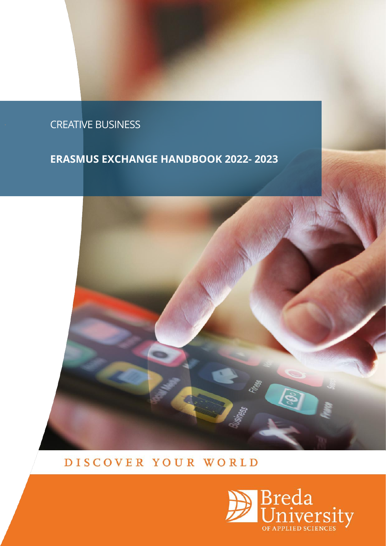# . CREATIVE BUSINESS

# **ERASMUS EXCHANGE HANDBOOK 2022- 2023**



# DISCOVER YOUR WORLD

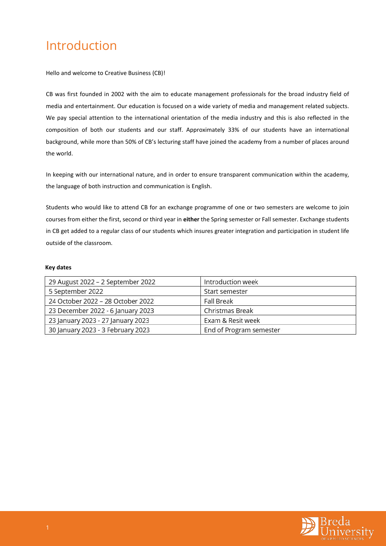# <span id="page-1-0"></span>Introduction

Hello and welcome to Creative Business (CB)!

CB was first founded in 2002 with the aim to educate management professionals for the broad industry field of media and entertainment. Our education is focused on a wide variety of media and management related subjects. We pay special attention to the international orientation of the media industry and this is also reflected in the composition of both our students and our staff. Approximately 33% of our students have an international background, while more than 50% of CB's lecturing staff have joined the academy from a number of places around the world.

In keeping with our international nature, and in order to ensure transparent communication within the academy, the language of both instruction and communication is English.

Students who would like to attend CB for an exchange programme of one or two semesters are welcome to join courses from either the first, second or third year in **either** the Spring semester or Fall semester. Exchange students in CB get added to a regular class of our students which insures greater integration and participation in student life outside of the classroom.

#### **Key dates**

| 29 August 2022 - 2 September 2022 | Introduction week       |
|-----------------------------------|-------------------------|
| 5 September 2022                  | Start semester          |
| 24 October 2022 - 28 October 2022 | <b>Fall Break</b>       |
| 23 December 2022 - 6 January 2023 | Christmas Break         |
| 23 January 2023 - 27 January 2023 | Exam & Resit week       |
| 30 January 2023 - 3 February 2023 | End of Program semester |

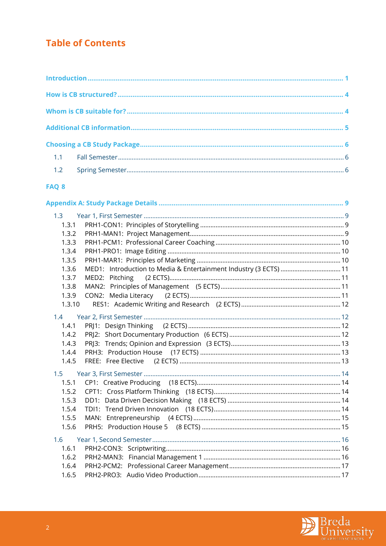## **Table of Contents**

## FAQ 8

| 1.3    |                                                                   |  |
|--------|-------------------------------------------------------------------|--|
| 1.3.1  |                                                                   |  |
| 1.3.2  |                                                                   |  |
| 1.3.3  |                                                                   |  |
| 1.3.4  |                                                                   |  |
| 1.3.5  |                                                                   |  |
| 1.3.6  | MED1: Introduction to Media & Entertainment Industry (3 ECTS)  11 |  |
| 1.3.7  | MED2: Pitching                                                    |  |
| 1.3.8  |                                                                   |  |
| 1.3.9  |                                                                   |  |
| 1.3.10 |                                                                   |  |
| 1.4    |                                                                   |  |
| 1.4.1  |                                                                   |  |
| 1.4.2  |                                                                   |  |
| 1.4.3  |                                                                   |  |
| 1.4.4  |                                                                   |  |
| 1.4.5  |                                                                   |  |
| 1.5    |                                                                   |  |
| 1.5.1  |                                                                   |  |
| 1.5.2  |                                                                   |  |
| 1.5.3  |                                                                   |  |
| 1.5.4  |                                                                   |  |
| 1.5.5  |                                                                   |  |
| 1.5.6  |                                                                   |  |
| 1.6    |                                                                   |  |
| 1.6.1  |                                                                   |  |
| 1.6.2  |                                                                   |  |
| 1.6.4  |                                                                   |  |
| 1.6.5  |                                                                   |  |

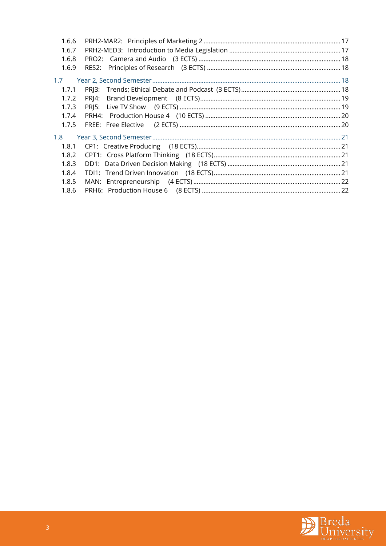| 1.6.6 |       |  |
|-------|-------|--|
| 1.6.7 |       |  |
| 1.6.8 |       |  |
| 1.6.9 |       |  |
| 1.7   |       |  |
| 1.7.1 |       |  |
| 1.7.2 | PRI4: |  |
| 1.7.3 |       |  |
| 1.7.4 |       |  |
| 1.7.5 |       |  |
| 1.8   |       |  |
| 1.8.1 |       |  |
| 1.8.2 |       |  |
| 1.8.3 |       |  |
| 1.8.4 |       |  |
| 1.8.5 |       |  |
| 1.8.6 |       |  |

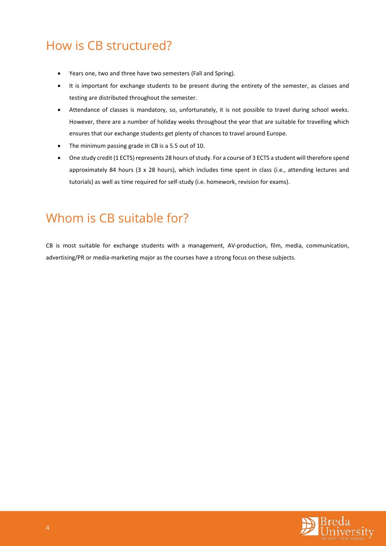# <span id="page-4-0"></span>How is CB structured?

- Years one, two and three have two semesters (Fall and Spring).
- It is important for exchange students to be present during the entirety of the semester, as classes and testing are distributed throughout the semester.
- Attendance of classes is mandatory, so, unfortunately, it is not possible to travel during school weeks. However, there are a number of holiday weeks throughout the year that are suitable for travelling which ensures that our exchange students get plenty of chances to travel around Europe.
- The minimum passing grade in CB is a 5.5 out of 10.
- One study credit (1 ECTS) represents 28 hours of study. For a course of 3 ECTS a student will therefore spend approximately 84 hours (3 x 28 hours), which includes time spent in class (i.e., attending lectures and tutorials) as well as time required for self-study (i.e. homework, revision for exams).

# <span id="page-4-1"></span>Whom is CB suitable for?

CB is most suitable for exchange students with a management, AV-production, film, media, communication, advertising/PR or media-marketing major as the courses have a strong focus on these subjects.

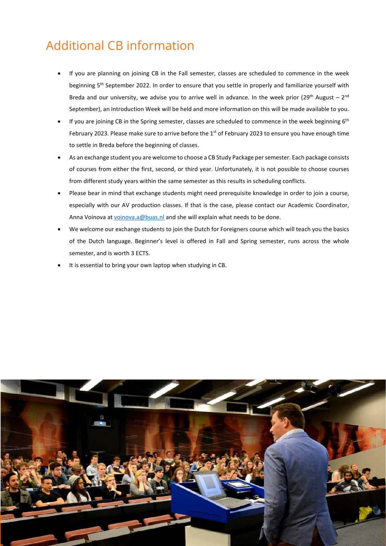# <span id="page-5-0"></span>Additional CB information

- If you are planning on joining CB in the Fall semester, classes are scheduled to commence in the week beginning 5<sup>th</sup> September 2022. In order to ensure that you settle in properly and familiarize yourself with Breda and our university, we advise you to arrive well in advance. In the week prior ( $29<sup>th</sup>$  August –  $2<sup>nd</sup>$ September), an Introduction Week will be held and more information on this will be made available to you.
- If you are joining CB in the Spring semester, classes are scheduled to commence in the week beginning 6<sup>th</sup> February 2023. Please make sure to arrive before the 1<sup>st</sup> of February 2023 to ensure you have enough time to settle in Breda before the beginning of classes.
- As an exchange student you are welcome to choose a CB Study Package per semester. Each package consists of courses from either the first, second, or third year. Unfortunately, it is not possible to choose courses from different study years within the same semester as this results in scheduling conflicts.
- Please bear in mind that exchange students might need prerequisite knowledge in order to join a course, especially with our AV production classes. If that is the case, please contact our Academic Coordinator, Anna Voinova at [voinova.a@buas.nl](mailto:voinova.a@buas.nl) and she will explain what needs to be done.
- We welcome our exchange students to join the Dutch for Foreigners course which will teach you the basics of the Dutch language. Beginner's level is offered in Fall and Spring semester, runs across the whole semester, and is worth 3 ECTS.
- It is essential to bring your own laptop when studying in CB.

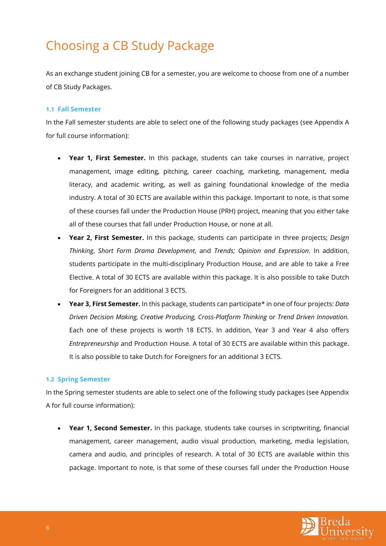# <span id="page-6-0"></span>Choosing a CB Study Package

As an exchange student joining CB for a semester, you are welcome to choose from one of a number of CB Study Packages.

#### <span id="page-6-1"></span>**1.1 Fall Semester**

In the Fall semester students are able to select one of the following study packages (see Appendix A for full course information):

- **Year 1, First Semester.** In this package, students can take courses in narrative, project management, image editing, pitching, career coaching, marketing, management, media literacy, and academic writing, as well as gaining foundational knowledge of the media industry. A total of 30 ECTS are available within this package. Important to note, is that some of these courses fall under the Production House (PRH) project, meaning that you either take all of these courses that fall under Production House, or none at all.
- **Year 2, First Semester.** In this package, students can participate in three projects; *Design Thinking*, *Short Form Drama Development*, and *Trends; Opinion and Expression*. In addition, students participate in the multi-disciplinary Production House, and are able to take a Free Elective. A total of 30 ECTS are available within this package. It is also possible to take Dutch for Foreigners for an additional 3 ECTS.
- **Year 3, First Semester.** In this package, students can participate\* in one of four projects: *Data Driven Decision Making, Creative Producing, Cross-Platform Thinking* or *Trend Driven Innovation.*  Each one of these projects is worth 18 ECTS. In addition, Year 3 and Year 4 also offers *Entrepreneurship* and Production House. A total of 30 ECTS are available within this package. It is also possible to take Dutch for Foreigners for an additional 3 ECTS.

### <span id="page-6-2"></span>**1.2 Spring Semester**

In the Spring semester students are able to select one of the following study packages (see Appendix A for full course information):

• **Year 1, Second Semester.** In this package, students take courses in scriptwriting, financial management, career management, audio visual production, marketing, media legislation, camera and audio, and principles of research. A total of 30 ECTS are available within this package. Important to note, is that some of these courses fall under the Production House

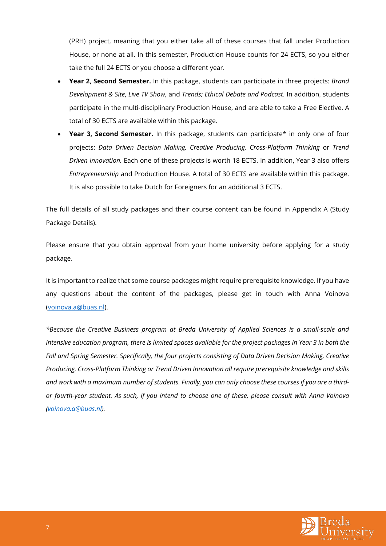(PRH) project, meaning that you either take all of these courses that fall under Production House, or none at all. In this semester, Production House counts for 24 ECTS, so you either take the full 24 ECTS or you choose a different year.

- **Year 2, Second Semester.** In this package, students can participate in three projects: *Brand Development & Site*, *Live TV Show*, and *Trends; Ethical Debate and Podcast*. In addition, students participate in the multi-disciplinary Production House, and are able to take a Free Elective. A total of 30 ECTS are available within this package.
- **Year 3, Second Semester.** In this package, students can participate\* in only one of four projects: *Data Driven Decision Making, Creative Producing, Cross-Platform Thinking* or *Trend Driven Innovation.* Each one of these projects is worth 18 ECTS. In addition, Year 3 also offers *Entrepreneurship* and Production House. A total of 30 ECTS are available within this package. It is also possible to take Dutch for Foreigners for an additional 3 ECTS.

The full details of all study packages and their course content can be found in Appendix A (Study Package Details).

Please ensure that you obtain approval from your home university before applying for a study package.

It is important to realize that some course packages might require prerequisite knowledge. If you have any questions about the content of the packages, please get in touch with Anna Voinova [\(voinova.a@buas.nl\)](mailto:voinova.a@buas.nl).

*\*Because the Creative Business program at Breda University of Applied Sciences is a small-scale and intensive education program, there is limited spaces available for the project packages in Year 3 in both the Fall and Spring Semester. Specifically, the four projects consisting of Data Driven Decision Making, Creative Producing, Cross-Platform Thinking or Trend Driven Innovation all require prerequisite knowledge and skills and work with a maximum number of students. Finally, you can only choose these courses if you are a thirdor fourth-year student. As such, if you intend to choose one of these, please consult with Anna Voinova [\(voinova.a@buas.nl\)](mailto:voinova.a@buas.nl).*

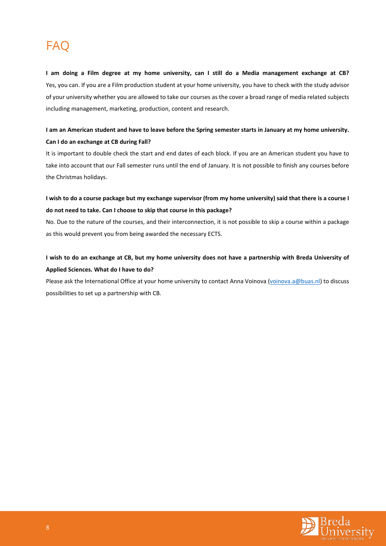# <span id="page-8-0"></span>FAQ

**I am doing a Film degree at my home university, can I still do a Media management exchange at CB?** Yes, you can. If you are a Film production student at your home university, you have to check with the study advisor of your university whether you are allowed to take our courses as the cover a broad range of media related subjects including management, marketing, production, content and research.

## **I am an American student and have to leave before the Spring semester starts in January at my home university. Can I do an exchange at CB during Fall?**

It is important to double check the start and end dates of each block. If you are an American student you have to take into account that our Fall semester runs until the end of January. It is not possible to finish any courses before the Christmas holidays.

## **I wish to do a course package but my exchange supervisor (from my home university) said that there is a course I do not need to take. Can I choose to skip that course in this package?**

No. Due to the nature of the courses, and their interconnection, it is not possible to skip a course within a package as this would prevent you from being awarded the necessary ECTS.

## **I wish to do an exchange at CB, but my home university does not have a partnership with Breda University of Applied Sciences. What do I have to do?**

Please ask the International Office at your home university to contact Anna Voinova [\(voinova.a@buas.nl\)](mailto:voinova.a@buas.nl) to discuss possibilities to set up a partnership with CB.

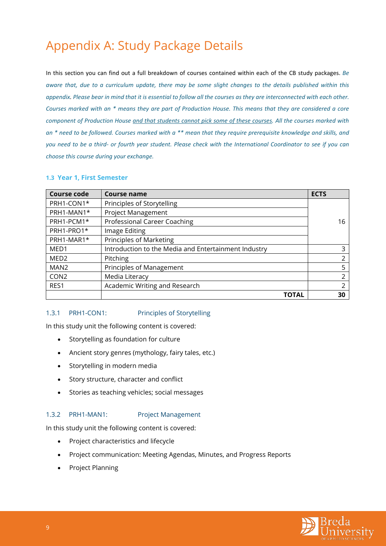# <span id="page-9-0"></span>Appendix A: Study Package Details

In this section you can find out a full breakdown of courses contained within each of the CB study packages. *Be aware that, due to a curriculum update, there may be some slight changes to the details published within this appendix. Please bear in mind that it is essential to follow all the courses as they are interconnected with each other. Courses marked with an \* means they are part of Production House. This means that they are considered a core component of Production House and that students cannot pick some of these courses. All the courses marked with an \* need to be followed. Courses marked with a \*\* mean that they require prerequisite knowledge and skills, and you need to be a third- or fourth year student. Please check with the International Coordinator to see if you can choose this course during your exchange.* 

#### <span id="page-9-1"></span>**1.3 Year 1, First Semester**

| <b>Course code</b> | <b>Course name</b>                                   | <b>ECTS</b> |
|--------------------|------------------------------------------------------|-------------|
| PRH1-CON1*         | Principles of Storytelling                           |             |
| PRH1-MAN1*         | <b>Project Management</b>                            |             |
| PRH1-PCM1*         | Professional Career Coaching                         | 16          |
| PRH1-PRO1*         | Image Editing                                        |             |
| PRH1-MAR1*         | <b>Principles of Marketing</b>                       |             |
| MED <sub>1</sub>   | Introduction to the Media and Entertainment Industry | 3           |
| MED <sub>2</sub>   | <b>Pitching</b>                                      | າ           |
| MAN <sub>2</sub>   | Principles of Management                             | 5           |
| CON <sub>2</sub>   | Media Literacy                                       | 2           |
| RES1               | Academic Writing and Research                        | 2           |
|                    | ΤΟΤΑL                                                | 30          |

#### <span id="page-9-2"></span>1.3.1 PRH1-CON1: Principles of Storytelling

In this study unit the following content is covered:

- Storytelling as foundation for culture
- Ancient story genres (mythology, fairy tales, etc.)
- Storytelling in modern media
- Story structure, character and conflict
- Stories as teaching vehicles; social messages

#### <span id="page-9-3"></span>1.3.2 PRH1-MAN1: Project Management

In this study unit the following content is covered:

- Project characteristics and lifecycle
- Project communication: Meeting Agendas, Minutes, and Progress Reports
- Project Planning

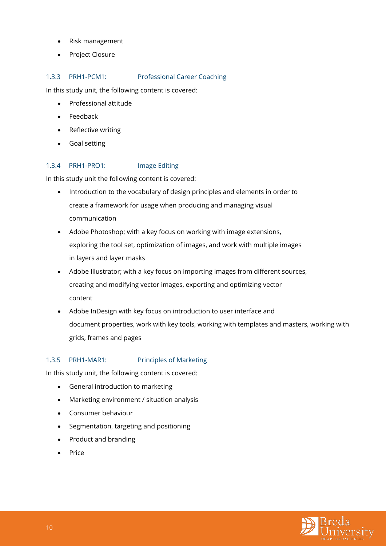- Risk management
- Project Closure

### <span id="page-10-0"></span>1.3.3 PRH1-PCM1: Professional Career Coaching

In this study unit, the following content is covered:

- Professional attitude
- Feedback
- Reflective writing
- Goal setting

### <span id="page-10-1"></span>1.3.4 PRH1-PRO1: Image Editing

In this study unit the following content is covered:

- Introduction to the vocabulary of design principles and elements in order to create a framework for usage when producing and managing visual communication
- Adobe Photoshop; with a key focus on working with image extensions, exploring the tool set, optimization of images, and work with multiple images in layers and layer masks
- Adobe Illustrator; with a key focus on importing images from different sources, creating and modifying vector images, exporting and optimizing vector content
- Adobe InDesign with key focus on introduction to user interface and document properties, work with key tools, working with templates and masters, working with grids, frames and pages

## <span id="page-10-2"></span>1.3.5 PRH1-MAR1: Principles of Marketing

In this study unit, the following content is covered:

- General introduction to marketing
- Marketing environment / situation analysis
- Consumer behaviour
- Segmentation, targeting and positioning
- Product and branding
- Price

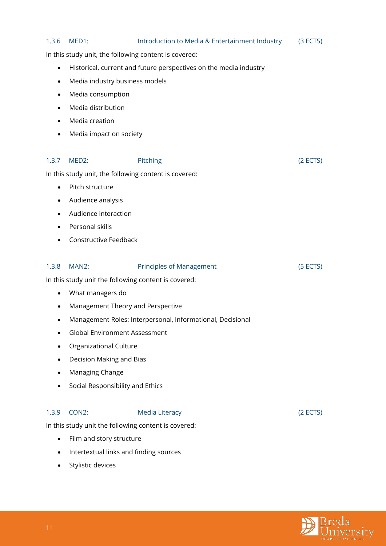<span id="page-11-2"></span><span id="page-11-1"></span><span id="page-11-0"></span>

| 1.3.6     | MED1:                                                 | Introduction to Media & Entertainment Industry                    | (3 ECTS) |
|-----------|-------------------------------------------------------|-------------------------------------------------------------------|----------|
|           | In this study unit, the following content is covered: |                                                                   |          |
| $\bullet$ |                                                       | Historical, current and future perspectives on the media industry |          |
| $\bullet$ | Media industry business models                        |                                                                   |          |
| $\bullet$ | Media consumption                                     |                                                                   |          |
| $\bullet$ | Media distribution                                    |                                                                   |          |
|           | Media creation                                        |                                                                   |          |
|           | Media impact on society                               |                                                                   |          |
|           |                                                       |                                                                   |          |
| 1.3.7     | MED2:                                                 | Pitching                                                          | (2 ECTS) |
|           | In this study unit, the following content is covered: |                                                                   |          |
| $\bullet$ | Pitch structure                                       |                                                                   |          |
| $\bullet$ | Audience analysis                                     |                                                                   |          |
|           | Audience interaction                                  |                                                                   |          |
|           | Personal skills                                       |                                                                   |          |
|           | Constructive Feedback                                 |                                                                   |          |
| 1.3.8     | MAN2:                                                 | <b>Principles of Management</b>                                   | (5 ECTS) |
|           | In this study unit the following content is covered:  |                                                                   |          |
| $\bullet$ | What managers do                                      |                                                                   |          |
| $\bullet$ | Management Theory and Perspective                     |                                                                   |          |
|           |                                                       | Management Roles: Interpersonal, Informational, Decisional        |          |
|           | <b>Global Environment Assessment</b>                  |                                                                   |          |
|           | Organizational Culture                                |                                                                   |          |
|           | Decision Making and Bias                              |                                                                   |          |
|           | Managing Change                                       |                                                                   |          |
|           | Social Responsibility and Ethics                      |                                                                   |          |
| 1.3.9     | CON <sub>2</sub> :                                    | <b>Media Literacy</b>                                             | (2 ECTS) |
|           | In this study unit the following content is covered:  |                                                                   |          |
|           |                                                       |                                                                   |          |
| $\bullet$ | Film and story structure                              |                                                                   |          |
|           | Intertextual links and finding sources                |                                                                   |          |
|           | Stylistic devices                                     |                                                                   |          |

<span id="page-11-3"></span>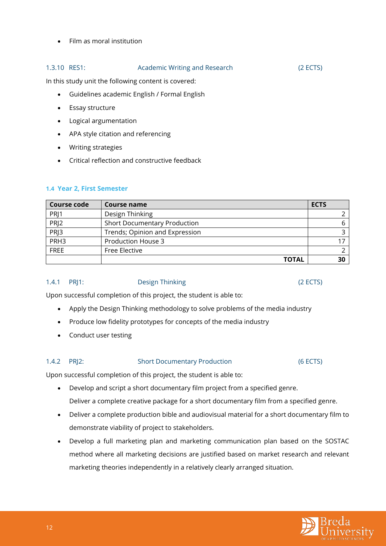### <span id="page-12-0"></span>1.3.10 RES1: Academic Writing and Research (2 ECTS)

In this study unit the following content is covered:

- Guidelines academic English / Formal English
- Essay structure
- Logical argumentation
- APA style citation and referencing
- Writing strategies
- Critical reflection and constructive feedback

### <span id="page-12-1"></span>**1.4 Year 2, First Semester**

| <b>Course code</b> | Course name                         | <b>ECTS</b> |
|--------------------|-------------------------------------|-------------|
| PRJ1               | Design Thinking                     |             |
| PRJ2               | <b>Short Documentary Production</b> |             |
| PR <sub>13</sub>   | Trends; Opinion and Expression      |             |
| PRH <sub>3</sub>   | <b>Production House 3</b>           |             |
| <b>FREE</b>        | Free Elective                       |             |
|                    | <b>TOTAL</b>                        | 30          |

<span id="page-12-2"></span>1.4.1 PRJ1: Design Thinking (2 ECTS)

Upon successful completion of this project, the student is able to:

- Apply the Design Thinking methodology to solve problems of the media industry
- Produce low fidelity prototypes for concepts of the media industry
- Conduct user testing

### <span id="page-12-3"></span>1.4.2 PRJ2: Short Documentary Production (6 ECTS)

Upon successful completion of this project, the student is able to:

- Develop and script a short documentary film project from a specified genre. Deliver a complete creative package for a short documentary film from a specified genre.
- Deliver a complete production bible and audiovisual material for a short documentary film to demonstrate viability of project to stakeholders.
- Develop a full marketing plan and marketing communication plan based on the SOSTAC method where all marketing decisions are justified based on market research and relevant marketing theories independently in a relatively clearly arranged situation.

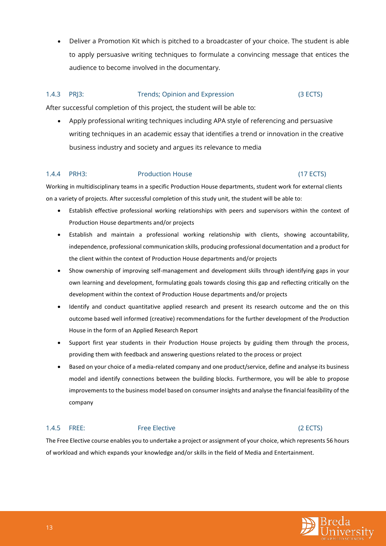• Deliver a Promotion Kit which is pitched to a broadcaster of your choice. The student is able to apply persuasive writing techniques to formulate a convincing message that entices the audience to become involved in the documentary.

### <span id="page-13-0"></span>1.4.3 PRJ3: Trends; Opinion and Expression (3 ECTS)

After successful completion of this project, the student will be able to:

• Apply professional writing techniques including APA style of referencing and persuasive writing techniques in an academic essay that identifies a trend or innovation in the creative business industry and society and argues its relevance to media

### <span id="page-13-1"></span>1.4.4 PRH3: Production House (17 ECTS)

Working in multidisciplinary teams in a specific Production House departments, student work for external clients on a variety of projects. After successful completion of this study unit, the student will be able to:

- Establish effective professional working relationships with peers and supervisors within the context of Production House departments and/or projects
- Establish and maintain a professional working relationship with clients, showing accountability, independence, professional communication skills, producing professional documentation and a product for the client within the context of Production House departments and/or projects
- Show ownership of improving self-management and development skills through identifying gaps in your own learning and development, formulating goals towards closing this gap and reflecting critically on the development within the context of Production House departments and/or projects
- Identify and conduct quantitative applied research and present its research outcome and the on this outcome based well informed (creative) recommendations for the further development of the Production House in the form of an Applied Research Report
- Support first year students in their Production House projects by guiding them through the process, providing them with feedback and answering questions related to the process or project
- Based on your choice of a media-related company and one product/service, define and analyse its business model and identify connections between the building blocks. Furthermore, you will be able to propose improvements to the business model based on consumer insights and analyse the financial feasibility of the company

#### <span id="page-13-2"></span>1.4.5 FREE: Free Elective (2 ECTS)

The Free Elective course enables you to undertake a project or assignment of your choice, which represents 56 hours of workload and which expands your knowledge and/or skills in the field of Media and Entertainment.

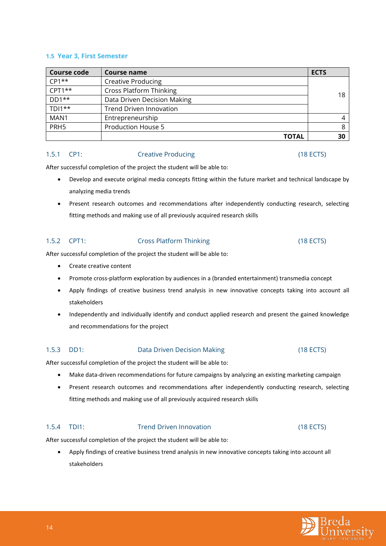#### <span id="page-14-0"></span>**1.5 Year 3, First Semester**

| <b>Course code</b> | Course name                    | <b>ECTS</b> |
|--------------------|--------------------------------|-------------|
| $CP1**$            | <b>Creative Producing</b>      |             |
| $CPT1***$          | <b>Cross Platform Thinking</b> |             |
| $DD1**$            | Data Driven Decision Making    | 18          |
| $TD1**$            | <b>Trend Driven Innovation</b> |             |
| MAN1               | Entrepreneurship               |             |
| PRH <sub>5</sub>   | <b>Production House 5</b>      |             |
|                    | TOTAL                          | 30          |

#### <span id="page-14-1"></span>1.5.1 CP1: Creative Producing (18 ECTS)

After successful completion of the project the student will be able to:

- Develop and execute original media concepts fitting within the future market and technical landscape by analyzing media trends
- Present research outcomes and recommendations after independently conducting research, selecting fitting methods and making use of all previously acquired research skills

### <span id="page-14-2"></span>1.5.2 CPT1: Cross Platform Thinking (18 ECTS)

After successful completion of the project the student will be able to:

- Create creative content
- Promote cross-platform exploration by audiences in a (branded entertainment) transmedia concept
- Apply findings of creative business trend analysis in new innovative concepts taking into account all stakeholders
- Independently and individually identify and conduct applied research and present the gained knowledge and recommendations for the project

## <span id="page-14-3"></span>1.5.3 DD1: Data Driven Decision Making (18 ECTS)

After successful completion of the project the student will be able to:

- Make data-driven recommendations for future campaigns by analyzing an existing marketing campaign
- Present research outcomes and recommendations after independently conducting research, selecting fitting methods and making use of all previously acquired research skills

### <span id="page-14-4"></span>1.5.4 TDI1: Trend Driven Innovation (18 ECTS)

After successful completion of the project the student will be able to:

• Apply findings of creative business trend analysis in new innovative concepts taking into account all stakeholders

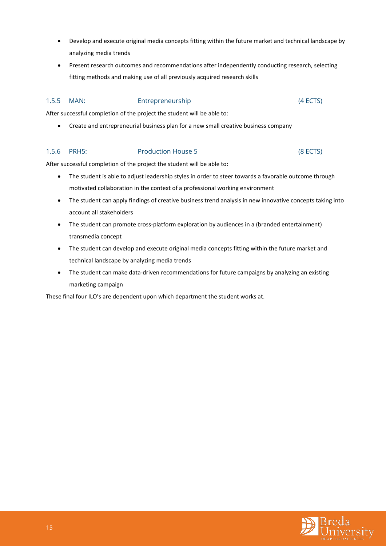- Develop and execute original media concepts fitting within the future market and technical landscape by analyzing media trends
- Present research outcomes and recommendations after independently conducting research, selecting fitting methods and making use of all previously acquired research skills

### <span id="page-15-0"></span>1.5.5 MAN: Entrepreneurship (4 ECTS)

After successful completion of the project the student will be able to:

• Create and entrepreneurial business plan for a new small creative business company

#### <span id="page-15-1"></span>1.5.6 PRH5: Production House 5 (8 ECTS)

After successful completion of the project the student will be able to:

- The student is able to adjust leadership styles in order to steer towards a favorable outcome through motivated collaboration in the context of a professional working environment
- The student can apply findings of creative business trend analysis in new innovative concepts taking into account all stakeholders
- The student can promote cross-platform exploration by audiences in a (branded entertainment) transmedia concept
- The student can develop and execute original media concepts fitting within the future market and technical landscape by analyzing media trends
- The student can make data-driven recommendations for future campaigns by analyzing an existing marketing campaign

These final four ILO's are dependent upon which department the student works at.

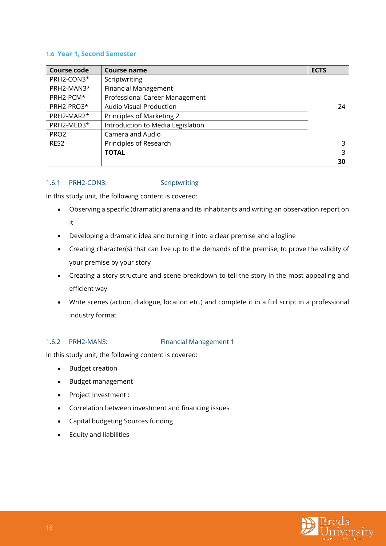#### <span id="page-16-0"></span>**1.6 Year 1, Second Semester**

| <b>Course code</b> | <b>Course name</b>                | <b>ECTS</b> |
|--------------------|-----------------------------------|-------------|
| PRH2-CON3*         | Scriptwriting                     |             |
| PRH2-MAN3*         | <b>Financial Management</b>       |             |
| PRH2-PCM*          | Professional Career Management    |             |
| PRH2-PRO3*         | <b>Audio Visual Production</b>    | 24          |
| PRH2-MAR2*         | Principles of Marketing 2         |             |
| PRH2-MED3*         | Introduction to Media Legislation |             |
| PRO <sub>2</sub>   | Camera and Audio                  |             |
| RES <sub>2</sub>   | Principles of Research            | 3           |
|                    | <b>TOTAL</b>                      | 3           |
|                    |                                   | 30          |

#### <span id="page-16-1"></span>1.6.1 PRH2-CON3: Scriptwriting

In this study unit, the following content is covered:

- Observing a specific (dramatic) arena and its inhabitants and writing an observation report on it
- Developing a dramatic idea and turning it into a clear premise and a logline
- Creating character(s) that can live up to the demands of the premise, to prove the validity of your premise by your story
- Creating a story structure and scene breakdown to tell the story in the most appealing and efficient way
- Write scenes (action, dialogue, location etc.) and complete it in a full script in a professional industry format

### <span id="page-16-2"></span>1.6.2 PRH2-MAN3: Financial Management 1

In this study unit, the following content is covered:

- Budget creation
- Budget management
- Project Investment :
- Correlation between investment and financing issues
- Capital budgeting Sources funding
- Equity and liabilities

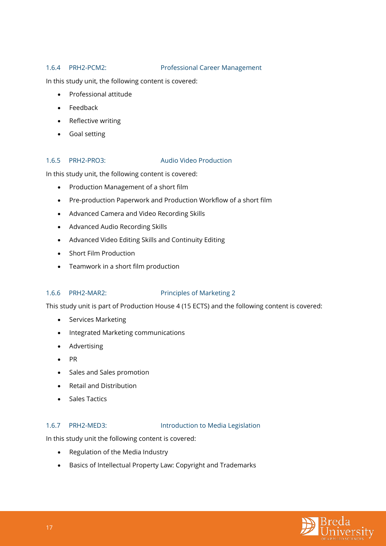#### <span id="page-17-0"></span>1.6.4 PRH2-PCM2: Professional Career Management

In this study unit, the following content is covered:

- Professional attitude
- Feedback
- Reflective writing
- Goal setting

### <span id="page-17-1"></span>1.6.5 PRH2-PRO3: Audio Video Production

In this study unit, the following content is covered:

- Production Management of a short film
- Pre-production Paperwork and Production Workflow of a short film
- Advanced Camera and Video Recording Skills
- Advanced Audio Recording Skills
- Advanced Video Editing Skills and Continuity Editing
- Short Film Production
- Teamwork in a short film production

### <span id="page-17-2"></span>1.6.6 PRH2-MAR2: Principles of Marketing 2

This study unit is part of Production House 4 (15 ECTS) and the following content is covered:

- Services Marketing
- Integrated Marketing communications
- Advertising
- PR
- Sales and Sales promotion
- Retail and Distribution
- Sales Tactics

### <span id="page-17-3"></span>1.6.7 PRH2-MED3: Introduction to Media Legislation

In this study unit the following content is covered:

- Regulation of the Media Industry
- Basics of Intellectual Property Law: Copyright and Trademarks

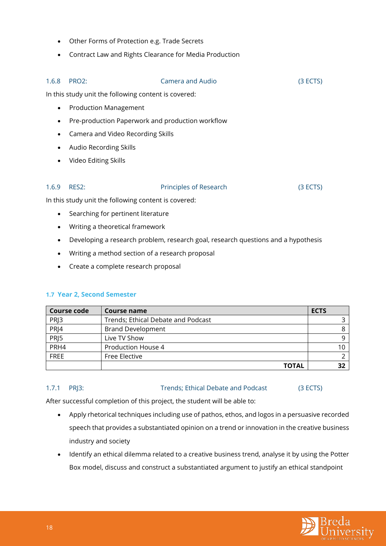- Other Forms of Protection e.g. Trade Secrets
- Contract Law and Rights Clearance for Media Production

## <span id="page-18-0"></span>1.6.8 PRO2: Camera and Audio (3 ECTS)

In this study unit the following content is covered:

- Production Management
- Pre-production Paperwork and production workflow
- Camera and Video Recording Skills
- Audio Recording Skills
- Video Editing Skills

#### <span id="page-18-1"></span>1.6.9 RES2: Principles of Research (3 ECTS)

In this study unit the following content is covered:

- Searching for pertinent literature
- Writing a theoretical framework
- Developing a research problem, research goal, research questions and a hypothesis
- Writing a method section of a research proposal
- Create a complete research proposal

### <span id="page-18-2"></span>**1.7 Year 2, Second Semester**

| <b>Course code</b> | Course name                        | <b>ECTS</b> |
|--------------------|------------------------------------|-------------|
| PRJ3               | Trends; Ethical Debate and Podcast |             |
| PRJ4               | <b>Brand Development</b>           |             |
| PRJ5               | Live TV Show                       |             |
| PRH4               | Production House 4                 |             |
| <b>FREE</b>        | Free Elective                      |             |
|                    | <b>TOTAL</b>                       |             |

#### <span id="page-18-3"></span>1.7.1 PRJ3: Trends; Ethical Debate and Podcast (3 ECTS)

After successful completion of this project, the student will be able to:

- Apply rhetorical techniques including use of pathos, ethos, and logos in a persuasive recorded speech that provides a substantiated opinion on a trend or innovation in the creative business industry and society
- Identify an ethical dilemma related to a creative business trend, analyse it by using the Potter Box model, discuss and construct a substantiated argument to justify an ethical standpoint

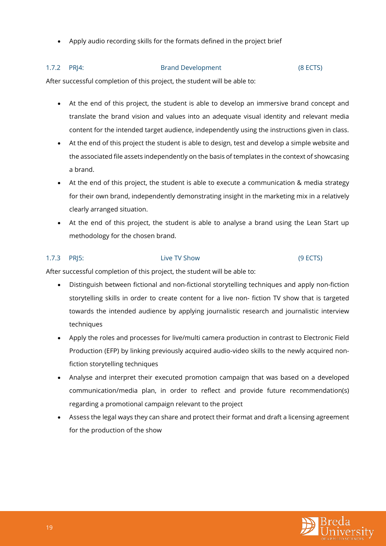• Apply audio recording skills for the formats defined in the project brief

#### <span id="page-19-0"></span>1.7.2 PRJ4: Brand Development (8 ECTS)

After successful completion of this project, the student will be able to:

- At the end of this project, the student is able to develop an immersive brand concept and translate the brand vision and values into an adequate visual identity and relevant media content for the intended target audience, independently using the instructions given in class.
- At the end of this project the student is able to design, test and develop a simple website and the associated file assets independently on the basis of templates in the context of showcasing a brand.
- At the end of this project, the student is able to execute a communication & media strategy for their own brand, independently demonstrating insight in the marketing mix in a relatively clearly arranged situation.
- At the end of this project, the student is able to analyse a brand using the Lean Start up methodology for the chosen brand.

## <span id="page-19-1"></span>1.7.3 PRJ5: Live TV Show (9 ECTS)

After successful completion of this project, the student will be able to:

- Distinguish between fictional and non-fictional storytelling techniques and apply non-fiction storytelling skills in order to create content for a live non- fiction TV show that is targeted towards the intended audience by applying journalistic research and journalistic interview techniques
- Apply the roles and processes for live/multi camera production in contrast to Electronic Field Production (EFP) by linking previously acquired audio-video skills to the newly acquired nonfiction storytelling techniques
- Analyse and interpret their executed promotion campaign that was based on a developed communication/media plan, in order to reflect and provide future recommendation(s) regarding a promotional campaign relevant to the project
- Assess the legal ways they can share and protect their format and draft a licensing agreement for the production of the show

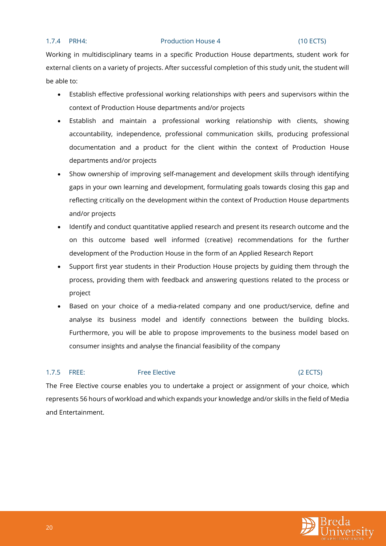#### <span id="page-20-0"></span>1.7.4 PRH4: Production House 4 (10 ECTS)

Working in multidisciplinary teams in a specific Production House departments, student work for external clients on a variety of projects. After successful completion of this study unit, the student will be able to:

- Establish effective professional working relationships with peers and supervisors within the context of Production House departments and/or projects
- Establish and maintain a professional working relationship with clients, showing accountability, independence, professional communication skills, producing professional documentation and a product for the client within the context of Production House departments and/or projects
- Show ownership of improving self-management and development skills through identifying gaps in your own learning and development, formulating goals towards closing this gap and reflecting critically on the development within the context of Production House departments and/or projects
- Identify and conduct quantitative applied research and present its research outcome and the on this outcome based well informed (creative) recommendations for the further development of the Production House in the form of an Applied Research Report
- Support first year students in their Production House projects by guiding them through the process, providing them with feedback and answering questions related to the process or project
- Based on your choice of a media-related company and one product/service, define and analyse its business model and identify connections between the building blocks. Furthermore, you will be able to propose improvements to the business model based on consumer insights and analyse the financial feasibility of the company

#### <span id="page-20-1"></span>1.7.5 FREE: Free Elective Case of the CECTS)

The Free Elective course enables you to undertake a project or assignment of your choice, which represents 56 hours of workload and which expands your knowledge and/or skills in the field of Media and Entertainment.

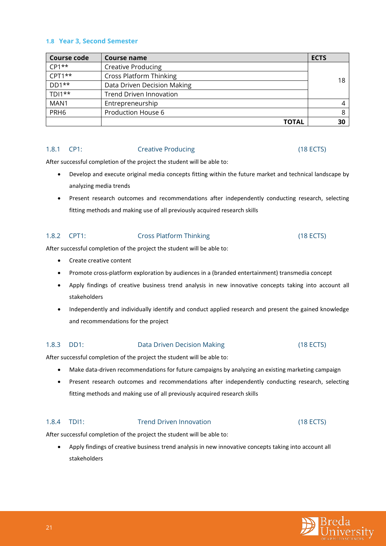#### <span id="page-21-0"></span>**1.8 Year 3, Second Semester**

| Course code      | Course name                    | <b>ECTS</b> |
|------------------|--------------------------------|-------------|
| $CP1**$          | <b>Creative Producing</b>      |             |
| $CPT1***$        | <b>Cross Platform Thinking</b> | 18          |
| $DD1**$          | Data Driven Decision Making    |             |
| $TD1**$          | <b>Trend Driven Innovation</b> |             |
| MAN1             | Entrepreneurship               |             |
| PRH <sub>6</sub> | Production House 6             | 8           |
|                  | <b>TOTAL</b>                   | 30          |

#### <span id="page-21-1"></span>1.8.1 CP1: Creative Producing (18 ECTS)

After successful completion of the project the student will be able to:

- Develop and execute original media concepts fitting within the future market and technical landscape by analyzing media trends
- Present research outcomes and recommendations after independently conducting research, selecting fitting methods and making use of all previously acquired research skills

#### <span id="page-21-2"></span>1.8.2 CPT1: Cross Platform Thinking (18 ECTS)

After successful completion of the project the student will be able to:

- Create creative content
- Promote cross-platform exploration by audiences in a (branded entertainment) transmedia concept
- Apply findings of creative business trend analysis in new innovative concepts taking into account all stakeholders
- Independently and individually identify and conduct applied research and present the gained knowledge and recommendations for the project

### <span id="page-21-3"></span>1.8.3 DD1: Data Driven Decision Making (18 ECTS)

After successful completion of the project the student will be able to:

- Make data-driven recommendations for future campaigns by analyzing an existing marketing campaign
- Present research outcomes and recommendations after independently conducting research, selecting fitting methods and making use of all previously acquired research skills

### <span id="page-21-4"></span>1.8.4 TDI1: Trend Driven Innovation (18 ECTS)

After successful completion of the project the student will be able to:

• Apply findings of creative business trend analysis in new innovative concepts taking into account all stakeholders

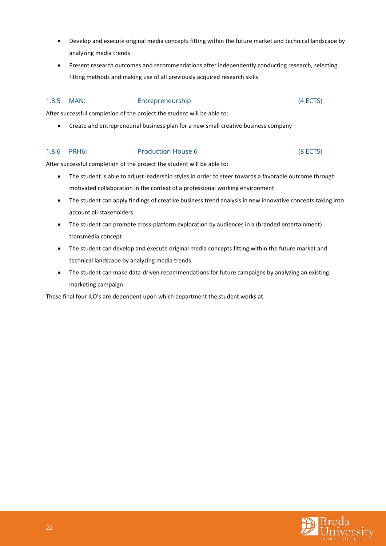- Develop and execute original media concepts fitting within the future market and technical landscape by analyzing media trends
- Present research outcomes and recommendations after independently conducting research, selecting fitting methods and making use of all previously acquired research skills

### <span id="page-22-0"></span>1.8.5 MAN: Entrepreneurship (4 ECTS)

After successful completion of the project the student will be able to:

• Create and entrepreneurial business plan for a new small creative business company

#### <span id="page-22-1"></span>1.8.6 PRH6: Production House 6 (8 ECTS)

After successful completion of the project the student will be able to:

- The student is able to adjust leadership styles in order to steer towards a favorable outcome through motivated collaboration in the context of a professional working environment
- The student can apply findings of creative business trend analysis in new innovative concepts taking into account all stakeholders
- The student can promote cross-platform exploration by audiences in a (branded entertainment) transmedia concept
- The student can develop and execute original media concepts fitting within the future market and technical landscape by analyzing media trends
- The student can make data-driven recommendations for future campaigns by analyzing an existing marketing campaign

These final four ILO's are dependent upon which department the student works at.